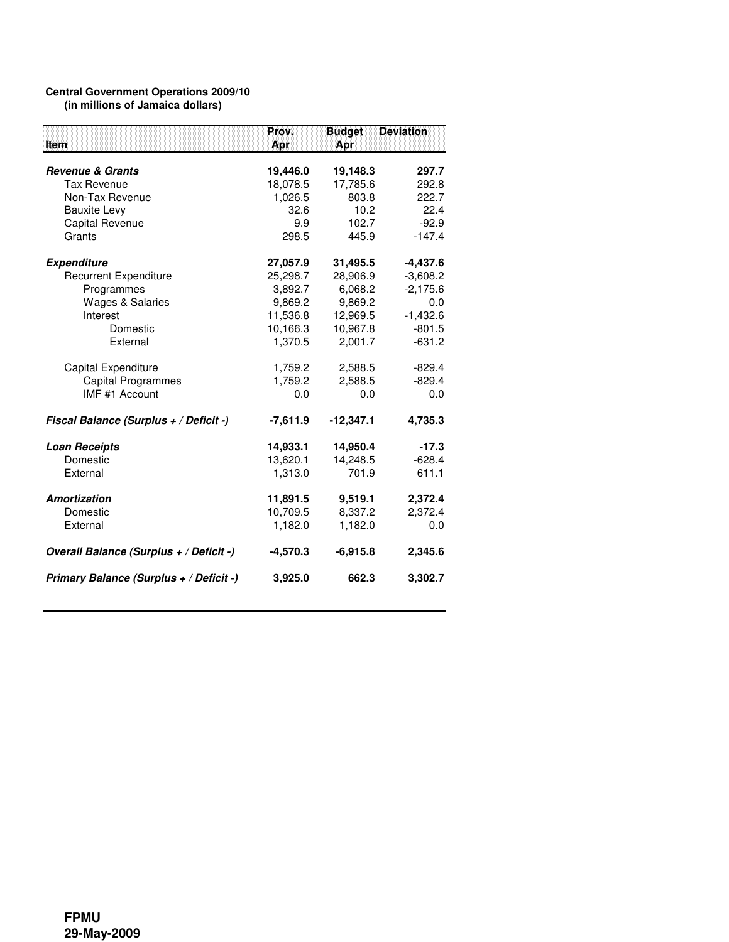## **Central Government Operations 2009/10 (in millions of Jamaica dollars)**

| Item                                    | Prov.<br>Apr | <b>Budget</b><br>Apr | <b>Deviation</b> |
|-----------------------------------------|--------------|----------------------|------------------|
|                                         |              |                      |                  |
| <b>Revenue &amp; Grants</b>             | 19,446.0     | 19,148.3             | 297.7            |
| <b>Tax Revenue</b>                      | 18,078.5     | 17,785.6             | 292.8            |
| Non-Tax Revenue                         | 1,026.5      | 803.8                | 222.7            |
| <b>Bauxite Levy</b>                     | 32.6         | 10.2                 | 22.4             |
| <b>Capital Revenue</b>                  | 9.9          | 102.7                | $-92.9$          |
| Grants                                  | 298.5        | 445.9                | $-147.4$         |
| <b>Expenditure</b>                      | 27,057.9     | 31,495.5             | $-4,437.6$       |
| <b>Recurrent Expenditure</b>            | 25,298.7     | 28,906.9             | $-3,608.2$       |
| Programmes                              | 3,892.7      | 6,068.2              | $-2,175.6$       |
| <b>Wages &amp; Salaries</b>             | 9,869.2      | 9,869.2              | 0.0              |
| Interest                                | 11,536.8     | 12,969.5             | $-1,432.6$       |
| Domestic                                | 10,166.3     | 10,967.8             | $-801.5$         |
| External                                | 1,370.5      | 2,001.7              | $-631.2$         |
| Capital Expenditure                     | 1,759.2      | 2,588.5              | $-829.4$         |
| <b>Capital Programmes</b>               | 1,759.2      | 2,588.5              | $-829.4$         |
| IMF #1 Account                          | 0.0          | 0.0                  | 0.0              |
| Fiscal Balance (Surplus + / Deficit -)  | $-7,611.9$   | $-12,347.1$          | 4,735.3          |
| <b>Loan Receipts</b>                    | 14,933.1     | 14,950.4             | $-17.3$          |
| Domestic                                | 13,620.1     | 14,248.5             | $-628.4$         |
| External                                | 1,313.0      | 701.9                | 611.1            |
| Amortization                            | 11,891.5     | 9,519.1              | 2,372.4          |
| Domestic                                | 10,709.5     | 8,337.2              | 2,372.4          |
| External                                | 1,182.0      | 1,182.0              | 0.0              |
| Overall Balance (Surplus + / Deficit -) | $-4,570.3$   | $-6,915.8$           | 2,345.6          |
| Primary Balance (Surplus + / Deficit -) | 3,925.0      | 662.3                | 3,302.7          |